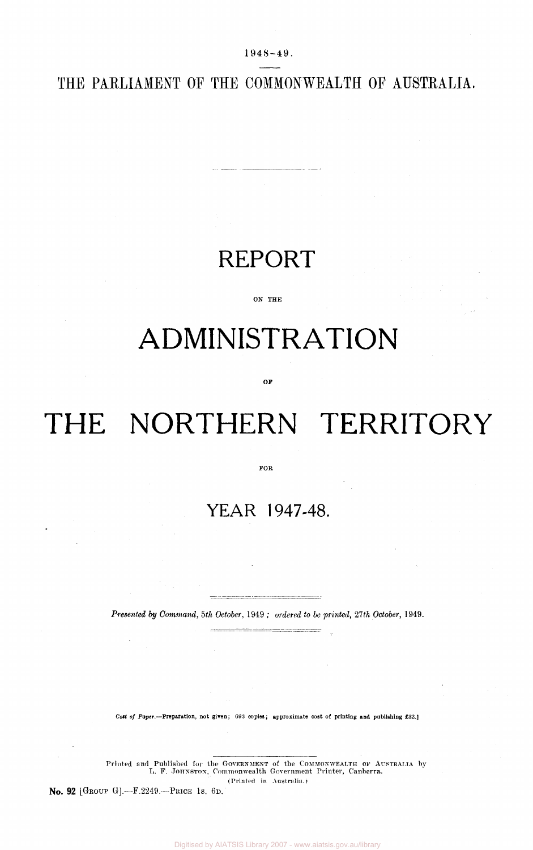**1948-49 .** 

THE PARLIAMENT OF THE COMMONWEALTH OF AUSTRALIA.

# REPORT

-----

ON THE

# ADMINISTRATION

OF

# THE NORTHERN TERRITORY

FOR

# YEAR 1947-48.

*Presented by Command, 5th October,* 1949 ; *ordered to be printed, 21th October,* 1949.

*Cost of Paper.*—Preparation, not given; 093 copies; approximate coat of printing and publishing £32.]

Printed and Published for the GOVERNMENT of the COMMONWEALTH OF AUSTRALIA by L. F. JOHNSTON, Commonwealth Government Printer, Canberra. (Printed in Australia.)

No. 92 [GROUP G].—F.2249.—PRICE 1S. 6D.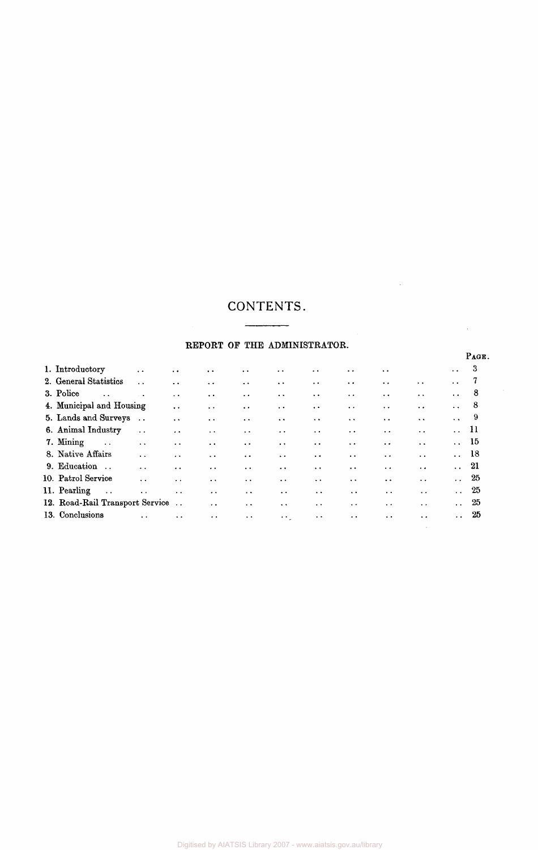## CONTENTS.  $\begin{array}{c} \begin{array}{c} \begin{array}{c} \begin{array}{c} \end{array} \\ \end{array} \end{array} \end{array}$

## REPORT OF THE ADMINISTRATOR.

| 1. Introductory                 | $\ddot{\phantom{a}}$ | $\ddot{\phantom{0}}$ | $\ddot{\phantom{a}}$ | $\ddot{\phantom{0}}$ | $\ddot{\phantom{0}}$ | $\ddot{\phantom{1}}$   | $\ddot{\phantom{0}}$   | $\ddot{\phantom{0}}$ |                      | $\ddot{\phantom{0}}$ | 3              |
|---------------------------------|----------------------|----------------------|----------------------|----------------------|----------------------|------------------------|------------------------|----------------------|----------------------|----------------------|----------------|
| 2. General Statistics           | $\ddot{\phantom{a}}$ | $\ddot{\phantom{a}}$ | $\ddot{\phantom{0}}$ | $\ddot{\phantom{a}}$ | $\ddot{\phantom{0}}$ | $\ddot{\phantom{a}}$   | $\ddot{\phantom{a}}$   | $\ddot{\phantom{a}}$ | $\ddot{\phantom{a}}$ | $\ddot{\phantom{a}}$ | $\overline{7}$ |
| 3. Police                       |                      | $\ddot{\phantom{a}}$ | $\ddot{\phantom{a}}$ | $\ddot{\phantom{0}}$ | $\ddot{\phantom{a}}$ | $\ddot{\phantom{0}}$   | $\ddot{\phantom{a}}$   | $\ddot{\phantom{0}}$ | $\ddot{\phantom{0}}$ | $\ddot{\phantom{a}}$ | - 8            |
| 4. Municipal and Housing        |                      | $\ddot{\phantom{a}}$ | $\ddot{\phantom{a}}$ | $\ddot{\phantom{0}}$ | $\ddot{\phantom{0}}$ | $\ddot{\phantom{a}}$   | $\ddot{\phantom{a}}$   | $\ddot{\phantom{a}}$ | $\ddot{\phantom{a}}$ | $\ddot{\phantom{a}}$ | $^{\circ}$ 8   |
| 5. Lands and Surveys            | $\ddot{\phantom{0}}$ | $\ddot{\phantom{1}}$ | $\ddot{\phantom{0}}$ | $\ddot{\phantom{1}}$ | $\ddot{\phantom{0}}$ | $\ddot{\phantom{a}}$   | $\ddot{\phantom{1}}$   | $\ddot{\phantom{a}}$ | $\ddot{\phantom{a}}$ | $\ddot{\phantom{a}}$ | - 9            |
| 6. Animal Industry              | $\ddot{\phantom{a}}$ | $\ddot{\phantom{0}}$ | $\ddot{\phantom{0}}$ | $\ddot{\phantom{a}}$ | $\ddot{\phantom{0}}$ | $\ddot{\phantom{1}}$   | $\ddot{\phantom{1}}$ . | $\ddot{\phantom{0}}$ | $\ddot{\phantom{0}}$ | 11                   |                |
| 7. Mining<br>$\sim$ $\sim$      | $\ddot{\phantom{a}}$ | $\ddot{\phantom{1}}$ | $\ddot{\phantom{0}}$ | $\ddot{\phantom{0}}$ | $\ddot{\phantom{1}}$ | $\sim$ $\sim$          | $\ddot{\phantom{a}}$   | $\ddotsc$            | $\ddot{\phantom{a}}$ | $\ldots$ 15          |                |
| 8. Native Affairs               | $\ddotsc$            | $\ddot{\phantom{a}}$ | $\ddot{\phantom{a}}$ | $\ddot{\phantom{a}}$ | $\ddot{\phantom{a}}$ | $\ddot{\phantom{0}}$   | $\ddot{\phantom{a}}$   | $\sim$ $\sim$        | $\ddot{\phantom{0}}$ | $\ldots$ 18          |                |
| 9. Education                    | $\ddot{\phantom{a}}$ | $\ddot{\phantom{a}}$ | $\ddot{\phantom{0}}$ | $\ddot{\phantom{0}}$ | $\ddot{\phantom{0}}$ | $\ddot{\phantom{0}}$   | $\ddot{\phantom{0}}$   | $\ddot{\phantom{0}}$ | $\ddot{\phantom{a}}$ | 21                   |                |
| 10. Patrol Service              | $\ddot{\phantom{a}}$ | $\ddot{\phantom{a}}$ | $\ddot{\phantom{a}}$ | $\ddot{\phantom{0}}$ | $\ddot{\phantom{a}}$ | $\ddot{\phantom{a}}$   | $\ddot{\phantom{0}}$   | $\ddot{\phantom{a}}$ | $\ddot{\phantom{a}}$ | $\ddotsc$            | - 25           |
| 11. Pearling<br>$\sim$ .        | $\ddot{\phantom{0}}$ | $\sim$ $\sim$        | $\ddot{\phantom{0}}$ | $\ddot{\phantom{1}}$ | $\ddot{\phantom{1}}$ | $\ddot{\phantom{1}}$   | $\ddot{\phantom{1}}$   | $\ddotsc$            | $\ddotsc$            | $\ddotsc$            | -25            |
| 12. Road-Rail Transport Service |                      |                      | $\ddot{\phantom{0}}$ | $\ddot{\phantom{0}}$ | $\ddot{\phantom{1}}$ | $\ddot{\phantom{0}}$   | $\cdot$ $\cdot$        | $\sim$ $\sim$        | $\ddot{\phantom{0}}$ | $\ddot{\phantom{0}}$ | 25             |
| 13. Conclusions                 |                      | $\ddotsc$            | $\ddot{\phantom{0}}$ | $\sim$               | $\sim 10^{-1}$       | $\ddot{\phantom{1}}$ . | $\ddot{\phantom{1}}$ . | $\ddot{\phantom{0}}$ | $\ddot{\phantom{0}}$ | $\sim$ $\sim$        | - 25           |

PAGE.

 $\mathcal{L}_{\mathcal{A}}$ 

 $\sim$ 

 $\mathcal{L}$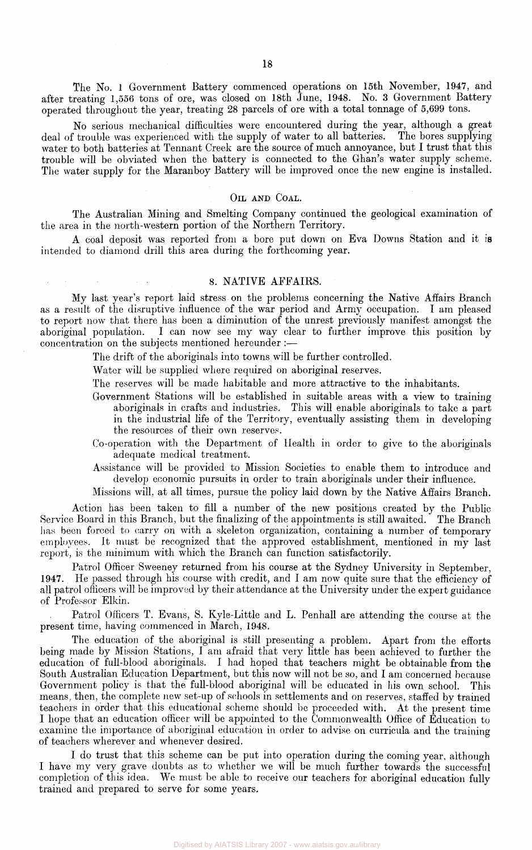The No. 1 Government Battery commenced operations on 15th November, 1947, and after treating 1,556 tons of ore, was closed on 18th June, 1948. No. 3 Government Battery operated throughout the year, treating 28 parcels of ore with a total tonnage of 5,699 tons.

No serious mechanical difficulties were encountered during the year, although a great deal of trouble was experienced with the supply of water to all batteries. The bores supplying water to both batteries at Tennant Creek are the source of much annoyance, but I trust that this trouble will be obviated when the battery is connected to the Ghan's water supply scheme. The water supply for the Maranboy Battery will be improved once the new engine is installed.

#### OIL AND COAL.

The Australian Mining and Smelting Company continued the geological examination of the area in the north-western portion of the Northern Territory.

A coal deposit was reported from a bore put down on Eva Downs Station and it is intended to diamond drill this area during the forthcoming year.

### 8. NATIVE AFFAIRS.

My last year's report laid stress on the problems concerning the Native Affairs Branch as a result of the disruptive influence of the war period and Army occupation. I am pleased to report now that there has been a diminution of the unrest previously manifest amongst the aboriginal population. I can now see my way clear to further improve this position by concentration on the subjects mentioned hereunder :—

The drift of the aboriginals into towns will be further controlled.

Water will be supplied where required on aboriginal reserves.

The reserves will be made habitable and more attractive to the inhabitants.

- Government Stations will be established in suitable areas with a view to training aboriginals in crafts and industries. This will enable aboriginals to take a part in the industrial life of the Territory, eventually assisting them in developing the resources of their own reserves.
- Co-operation with the Department of Health in order to give to the aboriginals adequate medical treatment.

Assistance will be provided to Mission Societies to enable them to introduce and develop economic pursuits in order to train aboriginals under their influence.

Missions will, at all times, pursue the policy laid down by the Native Affairs Branch.

Action has been taken to fill a number of the new positions created by the Public Service Board in this Branch, but the finalizing of the appointments is still awaited. The Branch has been forced to carry on with a skeleton organization, containing a number of temporary employees. It must be recognized that the approved establishment, mentioned in my last report, is the minimum with which the Branch can function satisfactorily.

Patrol Officer Sweeney returned from his course at the Sydney University in September, 1947. He passed through his course with credit, and I am now quite sure that the efficiency of all patrol officers will be improved by their attendance at the University under the expert guidance of Professor Elkin.

Patrol Officers T. Evans, S. Kyle-Little and L. Penhall are attending the course at the present time, having commenced in March, 1948.

The education of the aboriginal is still presenting a problem. Apart from the efforts being made by Mission Stations, I am afraid that very little has been achieved to further the education of full-blood aboriginals. I had hoped that teachers might be obtainable from the South Australian Education Department, but this now will not be so, and I am concerned because Government policy is that the full-blood aboriginal will be educated in his own school. This means, then, the complete new set-up of schools in settlements and on reserves, staffed by trained teachers in order that this educational scheme should be proceeded with. At the present time I hope that an education officer will be appointed to the Commonwealth Office of Education to examine the importance of aboriginal education in order to advise on curricula and the training of teachers wherever and whenever desired.

I do trust that this scheme can be put into operation during the coming year, although I have my very grave doubts as to whether we will be much further towards the successful completion of this idea. We must be able to receive our teachers for aboriginal education fully trained and prepared to serve for some years.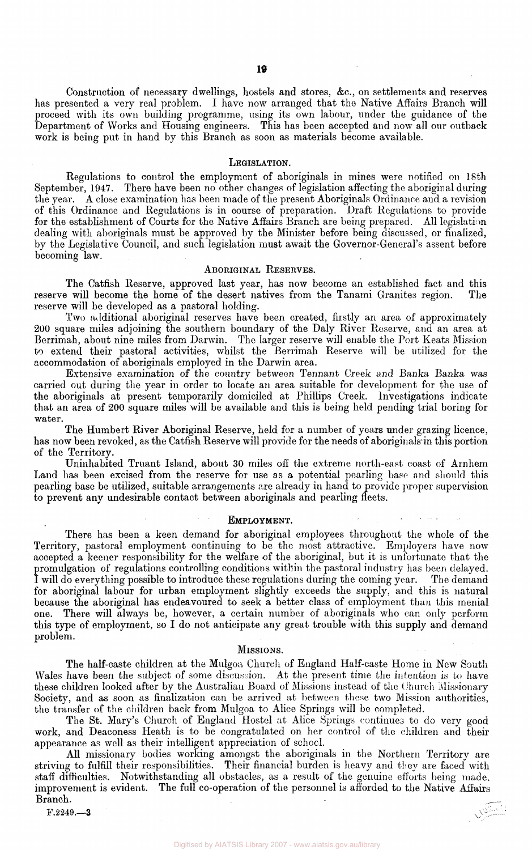Construction of necessary dwellings, hostels and stores, &c, on settlements and reserves has presented a very real problem. I have now arranged that the Native Affairs Branch will proceed with its own building programme, using its own labour, under the guidance of the Department of Works and Housing engineers. This has been accepted and now all our outback work is being put in hand by this Branch as soon as materials become available.

#### LEGISLATION.

Regulations to control the employment of aboriginals in mines were notified on 18th September, 1947. There have been no other changes of legislation affecting the aboriginal during the year. A close examination has been made of the present Aboriginals Ordinance and a revision of this Ordinance and Regulations is in course of preparation. Draft Regulations to provide for the establishment of Courts for the Native Affairs Branch are being prepared. All legislation dealing with aboriginals must be approved by the Minister before being discussed, or finalized, by the Legislative Council, and such legislation must await the Governor-General's assent before becoming law.

#### ABORIGINAL RESERVES.

The Catfish Reserve, approved last year, has now become an established fact and this reserve will become the home of the desert natives from the Tanami Granites region. The reserve will be developed as a pastoral holding.

Two additional aboriginal reserves have been created, firstly an area of approximately 200 square miles adjoining the southern boundary of the Daly River Reserve, and an area at Berrimah, about nine miles from Darwin. The larger reserve will enable the Port Keats Mission to extend their pastoral activities, whilst the Berrimah Reserve will be utilized for the accommodation of aboriginals employed in the Darwin area.

Extensive examination of the country between Tennant Creek and Banka Banka was carried out during the year in order to locate an area suitable for development for the use of the aboriginals at present temporarily domiciled at Phillips Creek. Investigations indicate that an area of 200 square miles will be available and this is being held pending trial boring for water.

The Humbert River Aboriginal Reserve, held for a number of years under grazing licence, has now been revoked, as the Catfish Reserve will provide for the needs of aboriginals in this portion of the Territory.

Uninhabited Truant Island, about 30 miles off the extreme north-east coast of Arnhem Land has been excised from the reserve for use as a potential pearling base and should this pearling base be utilized, suitable arrangements are already in hand to provide proper supervision to prevent any undesirable contact between aboriginals and pearling fleets.

#### EMPLOYMENT.

There has been a keen demand for aboriginal employees throughout the whole of the Territory, pastoral employment continuing to be the most attractive. Employers have now accepted a keener responsibility for the welfare of the aboriginal, but it is unfortunate that the promulgation of regulations controlling conditions within the pastoral industry has been delayed. I will do everything possible to introduce these regulations during the coming year. The demand for aboriginal labour for urban employment slightly exceeds the supply, and this is natural because the aboriginal has endeavoured to seek a better class of employment than this menial one. There will always be, however, a certain number of aboriginals who can only perform this type of employment, so I do not anticipate any great trouble with this supply and demand problem.

#### MISSIONS.

The half-caste children at the Mulgoa Church of England Half-caste Home in New South Wales have been the subject of some discussion. At the present time the intention is to have these children looked after by the Australian Board of Missions instead of the Church Missionary Society, and as soon as finalization can be arrived at between these two Mission authorities, the transfer of the children back from Mulgoa to Alice Springs will be completed.

The St. Mary's Church of England Hostel at Alice Springs continues to do very good work, and Deaconess Heath is to be congratulated on her control of the children and their appearance as well as their intelligent appreciation of school.

All missionary bodies working amongst the aboriginals in the Northern Territory are striving to fulfill their responsibilities. Their financial burden is heavy and they are faced with staff difficulties. Notwithstanding all obstacles, as a result of the genuine efforts being made, improvement is evident. The full co-operation of the personnel is afforded to the Native Affairs Branch.

F.2249.—3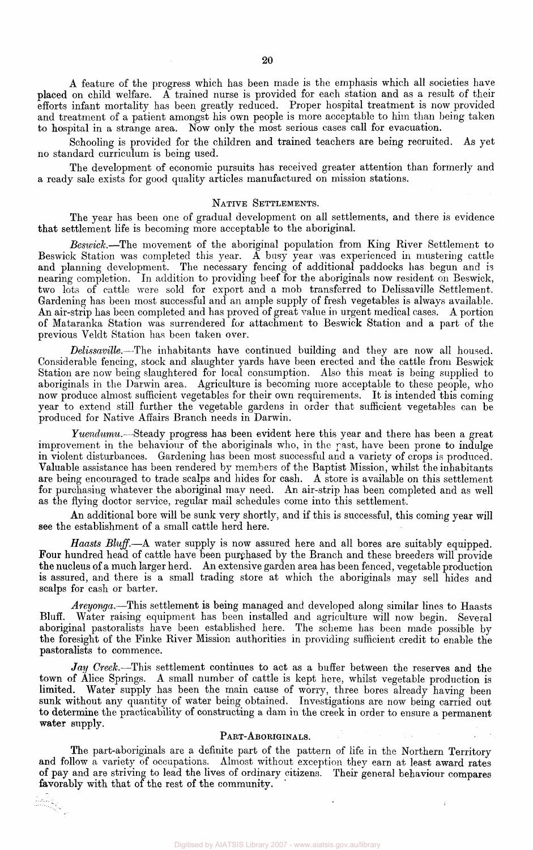A feature of the progress which has been made is the emphasis which all societies have placed on child welfare. A trained nurse is provided for each station and as a result of their efforts infant mortality has been greatly reduced. Proper hospital treatment is now provided and treatment of a patient amongst his own people is more acceptable to him than being taken to hospital in a strange area. Now only the most serious cases call for evacuation.

Schooling is provided for the children and trained teachers are being recruited. As yet no standard curriculum is being used.

The development of economic pursuits has received greater attention than formerly and a ready sale exists for good quality articles manufactured on mission stations.

#### NATIVE SETTLEMENTS.

The year has been one of gradual development on all settlements, and there is evidence that settlement life is becoming more acceptable to the aboriginal.

*Beswick.*—The movement of the aboriginal population from King River Settlement to Beswick Station was completed this year. A busy year was experienced in mustering cattle and planning development. The necessary fencing of additional paddocks has begun and is nearing completion. In addition to providing beef for the aboriginals now resident on Beswick, two lots of cattle were sold for export and a mob transferred to Delissaville Settlement. Gardening has been most successful and an ample supply of fresh vegetables is always available. An air-strip has been completed and has proved of great value in urgent medical cases. A portion of Mataranka Station was surrendered for attachment to Beswick Station and a part of the previous Veldt Station has been taken over.

*Delissaville.*—The inhabitants have continued building and they are now all housed. Considerable fencing, stock and slaughter yards have been erected and the cattle from Beswick Station are now being slaughtered for local consumption. Also this meat is being supplied to aboriginals in the Darwin area. Agriculture is becoming more acceptable to these people, who now produce almost sufficient vegetables for their own requirements. It is intended this coming year to extend still further the vegetable gardens in order that sufficient vegetables can be produced for Native Affairs Branch needs in Darwin.

*Yuendumu.*—Steady progress has been evident here this year and there has been a great improvement in the behaviour of the aboriginals who, in the past, have been prone to indulge in violent disturbances. Gardening has been most successful and a variety of crops is produced. Valuable assistance has been rendered by members of the Baptist Mission, whilst the inhabitants are being encouraged to trade scalps and hides for cash. A store is available on this settlement for purchasing whatever the aboriginal may need. An air-strip has been completed and as well as the flying doctor service, regular mail schedules come into this settlement.

An additional bore will be sunk very shortly, and if this is successful, this coming year will see the establishment of a small cattle herd here.

*Haasts Bluff.*—A water supply is now assured here and all bores are suitably equipped. Four hundred head of cattle have been purchased by the Branch and these breeders will provide the nucleus of a much larger herd. An extensive garden area has been fenced, vegetable production is assured, and there is a small trading store at which the aboriginals may sell hides and scalps for cash or barter.

*Areyonga.*—This settlement is being managed and developed along similar lines to Haasts Bluff. Water raising equipment has been installed and agriculture will now begin. Several aboriginal pastoralists have been established here. The scheme has been made possible by the foresight of the Finke River Mission authorities in providing sufficient credit to enable the pastoralists to commence.

*Jay Creek.*—This settlement continues to act as a buffer between the reserves and the town of Alice Springs. A small number of cattle is kept here, whilst vegetable production is limited. Water supply has been the main cause of worry, three bores already having been sunk without any quantity of water being obtained. Investigations are now being carried out to determine the practicability of constructing a dam in the creek in order to ensure a permanent water supply.

## PART-ABORIGINALS.

The part-aboriginals are a definite part of the pattern of life in the Northern Territory and follow a variety of occupations. Almost without exception they earn at least award rates of pay and are striving to lead the lives of ordinary citizens. Their general behaviour compares favorably with that of the rest of the community.

iliy<br>Tingg

ł.